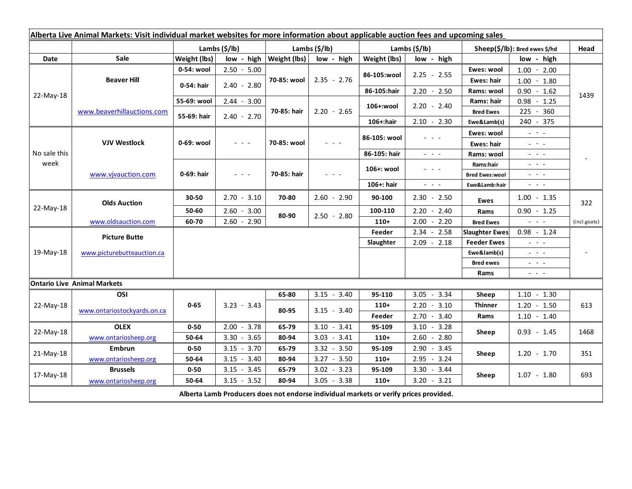| Alberta Live Animal Markets: Visit individual market websites for more information about applicable auction fees and upcoming sales |                                    |                |                     |                              |               |                           |                                                                                                                           |                               |                                                                                                                           |              |
|-------------------------------------------------------------------------------------------------------------------------------------|------------------------------------|----------------|---------------------|------------------------------|---------------|---------------------------|---------------------------------------------------------------------------------------------------------------------------|-------------------------------|---------------------------------------------------------------------------------------------------------------------------|--------------|
|                                                                                                                                     |                                    | Lambs $(S/lb)$ |                     | Lambs $(S/lb)$               |               | Lambs $(\frac{2}{3})$ lb) |                                                                                                                           | Sheep(\$/lb): Bred ewes \$/hd |                                                                                                                           | Head         |
| Date                                                                                                                                | Sale                               | Weight (lbs)   |                     | $low - high   Weight (lbs) $ | low - high    | Weight (lbs)              | low - high                                                                                                                |                               | low - high                                                                                                                |              |
| 22-May-18                                                                                                                           | <b>Beaver Hill</b>                 | 0-54: wool     | $2.50 - 5.00$       | 70-85: wool                  | $2.35 - 2.76$ | 86-105:wool               | $2.25 - 2.55$                                                                                                             | Ewes: wool                    | $1.00 - 2.00$                                                                                                             |              |
|                                                                                                                                     |                                    | 0-54: hair     | $2.40 - 2.80$       |                              |               |                           |                                                                                                                           | <b>Ewes: hair</b>             | $1.00 - 1.80$                                                                                                             |              |
|                                                                                                                                     |                                    |                |                     |                              |               | 86-105:hair               | $2.20 - 2.50$                                                                                                             | Rams: wool                    | $0.90 - 1.62$                                                                                                             | 1439         |
|                                                                                                                                     | www.beaverhillauctions.com         | 55-69: wool    | $2.44 - 3.00$       | 70-85: hair                  | $2.20 - 2.65$ | 106+:wool                 | $2.20 - 2.40$                                                                                                             | Rams: hair                    | $0.98 - 1.25$                                                                                                             |              |
|                                                                                                                                     |                                    | 55-69: hair    | $2.40 - 2.70$       |                              |               |                           |                                                                                                                           | <b>Bred Ewes</b>              | 225 - 360                                                                                                                 |              |
|                                                                                                                                     |                                    |                |                     |                              |               | 106+:hair                 | $2.10 - 2.30$                                                                                                             | Ewe&Lamb(s)                   | 240 - 375                                                                                                                 |              |
| No sale this<br>week                                                                                                                | <b>VJV Westlock</b>                | 0-69: wool     | $  -$               | 70-85: wool                  |               | 86-105: wool              | 20202                                                                                                                     | Ewes: wool                    | $\omega_{\rm{eff}}=0.1$                                                                                                   |              |
|                                                                                                                                     |                                    |                |                     |                              |               |                           |                                                                                                                           | Ewes: hair                    | $\mathbb{Z}^2 \times \mathbb{Z}^2$                                                                                        |              |
|                                                                                                                                     |                                    |                |                     |                              |               | 86-105: hair              | $\frac{1}{2} \left( \frac{1}{2} \right) \left( \frac{1}{2} \right) \left( \frac{1}{2} \right) \left( \frac{1}{2} \right)$ | Rams: wool                    | $\frac{1}{2} \left( \frac{1}{2} \right) = \frac{1}{2} \left( \frac{1}{2} \right)$                                         |              |
|                                                                                                                                     | www.vjvauction.com                 | 0-69: hair     | $\omega_{\rm{eff}}$ | 70-85: hair                  | 2022          | 106+: wool                | - - -                                                                                                                     | Rams:hair                     | $\frac{1}{2} \left( \frac{1}{2} \right) = \frac{1}{2} \left( \frac{1}{2} \right) = \frac{1}{2}$                           |              |
|                                                                                                                                     |                                    |                |                     |                              |               |                           |                                                                                                                           | <b>Bred Ewes:wool</b>         | $\frac{1}{2} \left( \frac{1}{2} \right) = \frac{1}{2} \left( \frac{1}{2} \right)$                                         |              |
|                                                                                                                                     |                                    |                |                     |                              |               | 106+: hair                | $\omega_{\rm{eff}}$ , $\omega_{\rm{eff}}$ , $\omega_{\rm{eff}}$                                                           | Ewe&Lamb:hair                 | $\frac{1}{2} \left( \frac{1}{2} \right) \left( \frac{1}{2} \right) \left( \frac{1}{2} \right) \left( \frac{1}{2} \right)$ |              |
| 22-May-18                                                                                                                           | <b>Olds Auction</b>                | 30-50          | $2.70 - 3.10$       | 70-80                        | $2.60 - 2.90$ | 90-100                    | $2.30 - 2.50$                                                                                                             | <b>Ewes</b>                   | $1.00 - 1.35$                                                                                                             | 322          |
|                                                                                                                                     |                                    | 50-60          | $2.60 - 3.00$       | 80-90                        | $2.50 - 2.80$ | 100-110                   | $2.20 - 2.40$                                                                                                             | Rams                          | $0.90 - 1.25$                                                                                                             |              |
|                                                                                                                                     | www.oldsauction.com                | 60-70          | $2.60 - 2.90$       |                              |               | $110+$                    | $2.00 - 2.20$                                                                                                             | <b>Bred Ewes</b>              | $\omega_{\rm{c}}$ and $\omega_{\rm{c}}$                                                                                   | (incl.goats) |
| 19-May-18                                                                                                                           | <b>Picture Butte</b>               |                |                     |                              |               | Feeder                    | $2.34 - 2.58$                                                                                                             | <b>Slaughter Ewes</b>         | $0.98 - 1.24$                                                                                                             |              |
|                                                                                                                                     |                                    |                |                     |                              |               | Slaughter                 | $2.09 - 2.18$                                                                                                             | <b>Feeder Ewes</b>            | $\frac{1}{2} \left( \frac{1}{2} \right) = \frac{1}{2} \left( \frac{1}{2} \right) = \frac{1}{2}$                           |              |
|                                                                                                                                     | www.picturebutteauction.ca         |                |                     |                              |               |                           |                                                                                                                           | Ewe&lamb(s)                   | $\mathbb{L}^2 \times \mathbb{L}^2$                                                                                        |              |
|                                                                                                                                     |                                    |                |                     |                              |               |                           |                                                                                                                           | <b>Bred ewes</b>              | $\frac{1}{2} \left( \frac{1}{2} \right) = \frac{1}{2} \left( \frac{1}{2} \right)$                                         |              |
|                                                                                                                                     |                                    |                |                     |                              |               |                           |                                                                                                                           | Rams                          | $\frac{1}{2} \left( \frac{1}{2} \right) \frac{1}{2} \left( \frac{1}{2} \right) \frac{1}{2} \left( \frac{1}{2} \right)$    |              |
|                                                                                                                                     | <b>Ontario Live Animal Markets</b> |                |                     |                              |               |                           |                                                                                                                           |                               |                                                                                                                           |              |
| 22-May-18                                                                                                                           | OSI                                | $0 - 65$       | $3.23 - 3.43$       | 65-80                        | $3.15 - 3.40$ | 95-110                    | $3.05 - 3.34$                                                                                                             | Sheep                         | $1.10 - 1.30$                                                                                                             |              |
|                                                                                                                                     | www.ontariostockyards.on.ca        |                |                     | 80-95                        | $3.15 - 3.40$ | $110+$                    | $2.20 - 3.10$                                                                                                             | <b>Thinner</b><br>Rams        | $1.20 - 1.50$                                                                                                             | 613          |
|                                                                                                                                     |                                    |                |                     |                              |               | Feeder                    | $2.70 - 3.40$                                                                                                             |                               | $1.10 - 1.40$                                                                                                             |              |
| 22-May-18                                                                                                                           | <b>OLEX</b>                        | $0 - 50$       | $2.00 - 3.78$       | 65-79                        | $3.10 - 3.41$ | 95-109                    | $3.10 - 3.28$                                                                                                             | Sheep                         | $0.93 - 1.45$                                                                                                             | 1468         |
|                                                                                                                                     | www.ontariosheep.org               | 50-64          | $3.30 - 3.65$       | 80-94                        | $3.03 - 3.41$ | $110+$                    | $2.60 - 2.80$                                                                                                             |                               |                                                                                                                           |              |
| $21-May-18$                                                                                                                         | <b>Embrun</b>                      | $0 - 50$       | $3.15 - 3.70$       | 65-79                        | $3.32 - 3.50$ | 95-109                    | $2.90 - 3.45$                                                                                                             | Sheep                         | $1.20 - 1.70$                                                                                                             | 351          |
|                                                                                                                                     | www.ontariosheep.org               | 50-64          | $3.15 - 3.40$       | 80-94                        | $3.27 - 3.50$ | $110+$                    | 2.95<br>$-3.24$                                                                                                           |                               |                                                                                                                           |              |
| 17-May-18                                                                                                                           | <b>Brussels</b>                    | $0 - 50$       | $3.15 - 3.45$       | 65-79                        | $3.02 - 3.23$ | 95-109                    | $3.30 - 3.44$                                                                                                             | Sheep                         | $1.07 - 1.80$                                                                                                             | 693          |
|                                                                                                                                     | www.ontariosheep.org               | 50-64          | $3.15 - 3.52$       | 80-94                        | $3.05 - 3.38$ | $110+$                    | $3.20 - 3.21$                                                                                                             |                               |                                                                                                                           |              |
| Alberta Lamb Producers does not endorse individual markets or verify prices provided.                                               |                                    |                |                     |                              |               |                           |                                                                                                                           |                               |                                                                                                                           |              |